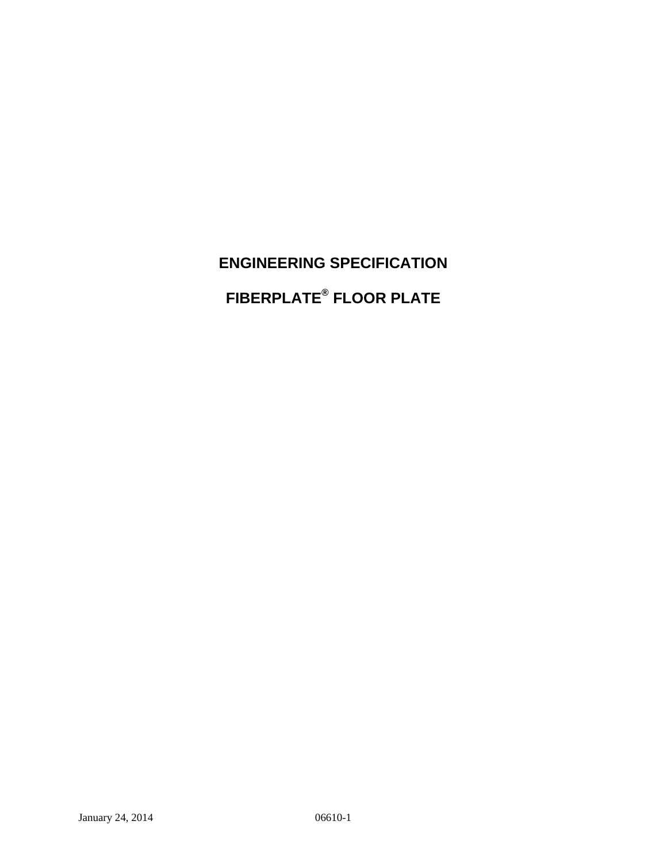**ENGINEERING SPECIFICATION FIBERPLATE® FLOOR PLATE**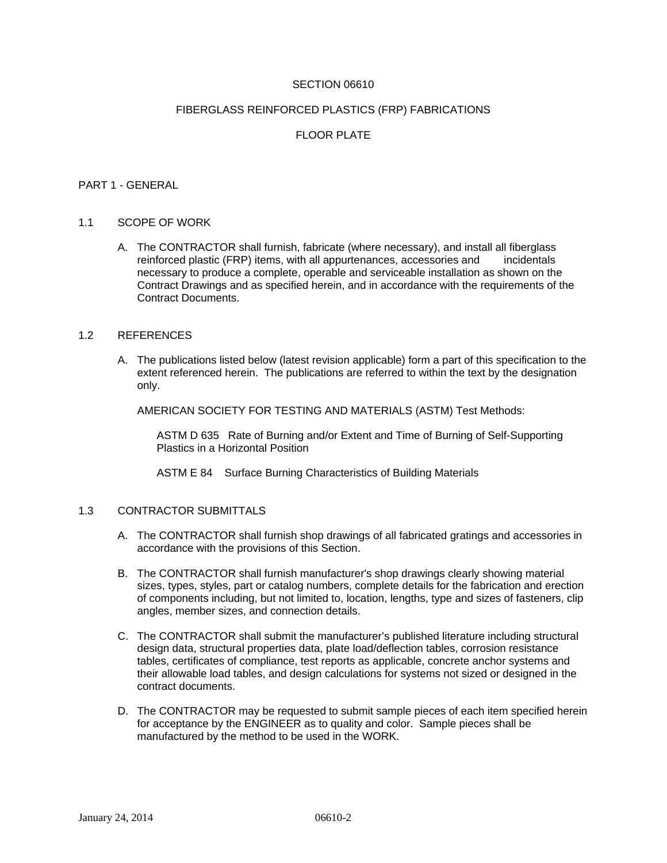## SECTION 06610

### FIBERGLASS REINFORCED PLASTICS (FRP) FABRICATIONS

## FLOOR PLATE

#### PART 1 - GENERAL

### 1.1 SCOPE OF WORK

A. The CONTRACTOR shall furnish, fabricate (where necessary), and install all fiberglass reinforced plastic (FRP) items, with all appurtenances, accessories and incidentals necessary to produce a complete, operable and serviceable installation as shown on the Contract Drawings and as specified herein, and in accordance with the requirements of the Contract Documents.

### 1.2 REFERENCES

A. The publications listed below (latest revision applicable) form a part of this specification to the extent referenced herein. The publications are referred to within the text by the designation only.

AMERICAN SOCIETY FOR TESTING AND MATERIALS (ASTM) Test Methods:

ASTM D 635 Rate of Burning and/or Extent and Time of Burning of Self-Supporting Plastics in a Horizontal Position

ASTM E 84 Surface Burning Characteristics of Building Materials

### 1.3 CONTRACTOR SUBMITTALS

- A. The CONTRACTOR shall furnish shop drawings of all fabricated gratings and accessories in accordance with the provisions of this Section.
- B. The CONTRACTOR shall furnish manufacturer's shop drawings clearly showing material sizes, types, styles, part or catalog numbers, complete details for the fabrication and erection of components including, but not limited to, location, lengths, type and sizes of fasteners, clip angles, member sizes, and connection details.
- C. The CONTRACTOR shall submit the manufacturer's published literature including structural design data, structural properties data, plate load/deflection tables, corrosion resistance tables, certificates of compliance, test reports as applicable, concrete anchor systems and their allowable load tables, and design calculations for systems not sized or designed in the contract documents.
- D. The CONTRACTOR may be requested to submit sample pieces of each item specified herein for acceptance by the ENGINEER as to quality and color. Sample pieces shall be manufactured by the method to be used in the WORK.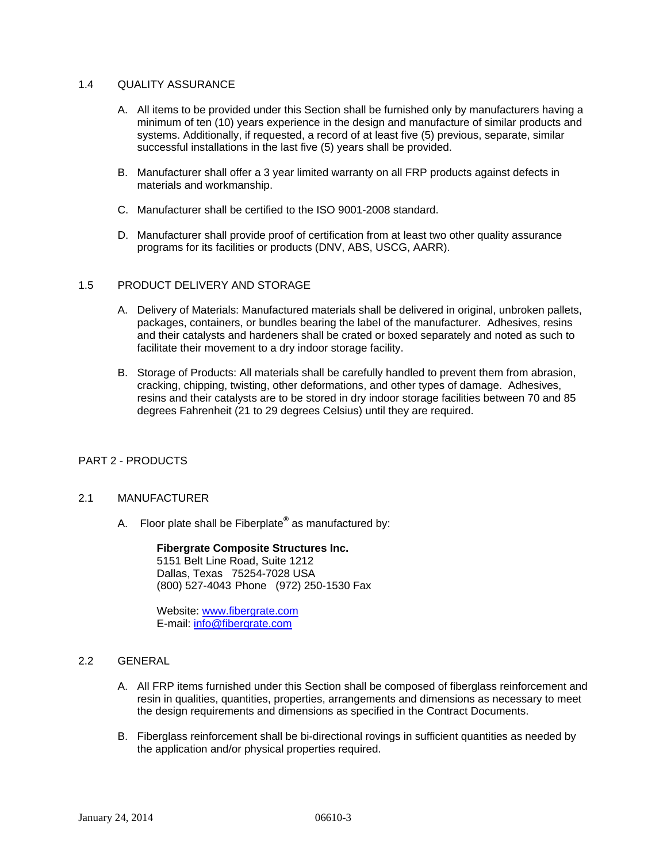## 1.4 QUALITY ASSURANCE

- A. All items to be provided under this Section shall be furnished only by manufacturers having a minimum of ten (10) years experience in the design and manufacture of similar products and systems. Additionally, if requested, a record of at least five (5) previous, separate, similar successful installations in the last five (5) years shall be provided.
- B. Manufacturer shall offer a 3 year limited warranty on all FRP products against defects in materials and workmanship.
- C. Manufacturer shall be certified to the ISO 9001-2008 standard.
- D. Manufacturer shall provide proof of certification from at least two other quality assurance programs for its facilities or products (DNV, ABS, USCG, AARR).

### 1.5 PRODUCT DELIVERY AND STORAGE

- A. Delivery of Materials: Manufactured materials shall be delivered in original, unbroken pallets, packages, containers, or bundles bearing the label of the manufacturer. Adhesives, resins and their catalysts and hardeners shall be crated or boxed separately and noted as such to facilitate their movement to a dry indoor storage facility.
- B. Storage of Products: All materials shall be carefully handled to prevent them from abrasion, cracking, chipping, twisting, other deformations, and other types of damage. Adhesives, resins and their catalysts are to be stored in dry indoor storage facilities between 70 and 85 degrees Fahrenheit (21 to 29 degrees Celsius) until they are required.

## PART 2 - PRODUCTS

## 2.1 MANUFACTURER

A. Floor plate shall be Fiberplate**®** as manufactured by:

 **Fibergrate Composite Structures Inc.** 5151 Belt Line Road, Suite 1212 Dallas, Texas 75254-7028 USA (800) 527-4043 Phone (972) 250-1530 Fax

Website: www.fibergrate.com E-mail: info@fibergrate.com

## 2.2 GENERAL

- A. All FRP items furnished under this Section shall be composed of fiberglass reinforcement and resin in qualities, quantities, properties, arrangements and dimensions as necessary to meet the design requirements and dimensions as specified in the Contract Documents.
- B. Fiberglass reinforcement shall be bi-directional rovings in sufficient quantities as needed by the application and/or physical properties required.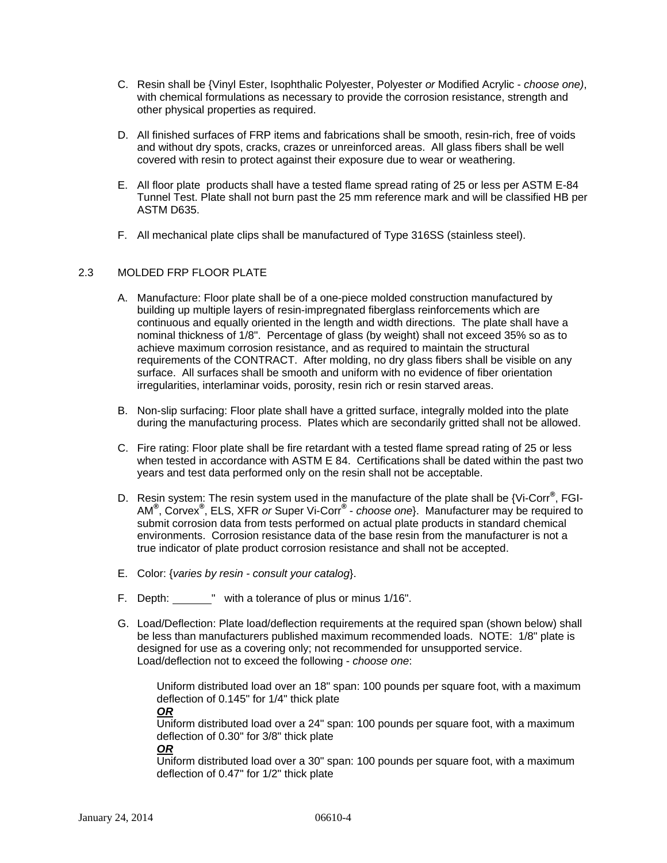- C. Resin shall be {Vinyl Ester, Isophthalic Polyester, Polyester *or* Modified Acrylic *choose one)*, with chemical formulations as necessary to provide the corrosion resistance, strength and other physical properties as required.
- D. All finished surfaces of FRP items and fabrications shall be smooth, resin-rich, free of voids and without dry spots, cracks, crazes or unreinforced areas. All glass fibers shall be well covered with resin to protect against their exposure due to wear or weathering.
- E. All floor plate products shall have a tested flame spread rating of 25 or less per ASTM E-84 Tunnel Test. Plate shall not burn past the 25 mm reference mark and will be classified HB per ASTM D635.
- F. All mechanical plate clips shall be manufactured of Type 316SS (stainless steel).

# 2.3 MOLDED FRP FLOOR PLATE

- A. Manufacture: Floor plate shall be of a one-piece molded construction manufactured by building up multiple layers of resin-impregnated fiberglass reinforcements which are continuous and equally oriented in the length and width directions. The plate shall have a nominal thickness of 1/8". Percentage of glass (by weight) shall not exceed 35% so as to achieve maximum corrosion resistance, and as required to maintain the structural requirements of the CONTRACT. After molding, no dry glass fibers shall be visible on any surface. All surfaces shall be smooth and uniform with no evidence of fiber orientation irregularities, interlaminar voids, porosity, resin rich or resin starved areas.
- B. Non-slip surfacing: Floor plate shall have a gritted surface, integrally molded into the plate during the manufacturing process. Plates which are secondarily gritted shall not be allowed.
- C. Fire rating: Floor plate shall be fire retardant with a tested flame spread rating of 25 or less when tested in accordance with ASTM E 84. Certifications shall be dated within the past two years and test data performed only on the resin shall not be acceptable.
- D. Resin system: The resin system used in the manufacture of the plate shall be {Vi-Corr**®** , FGI-AM**®** , Corvex**®** , ELS, XFR *or* Super Vi-Corr**®** - *choose one*}. Manufacturer may be required to submit corrosion data from tests performed on actual plate products in standard chemical environments. Corrosion resistance data of the base resin from the manufacturer is not a true indicator of plate product corrosion resistance and shall not be accepted.
- E. Color: {*varies by resin consult your catalog*}.
- F. Depth: " with a tolerance of plus or minus 1/16".
- G. Load/Deflection: Plate load/deflection requirements at the required span (shown below) shall be less than manufacturers published maximum recommended loads. NOTE: 1/8" plate is designed for use as a covering only; not recommended for unsupported service. Load/deflection not to exceed the following - *choose one*:

Uniform distributed load over an 18" span: 100 pounds per square foot, with a maximum deflection of 0.145" for 1/4" thick plate *OR*

# Uniform distributed load over a 24" span: 100 pounds per square foot, with a maximum deflection of 0.30" for 3/8" thick plate

*OR*

Uniform distributed load over a 30" span: 100 pounds per square foot, with a maximum deflection of 0.47" for 1/2" thick plate